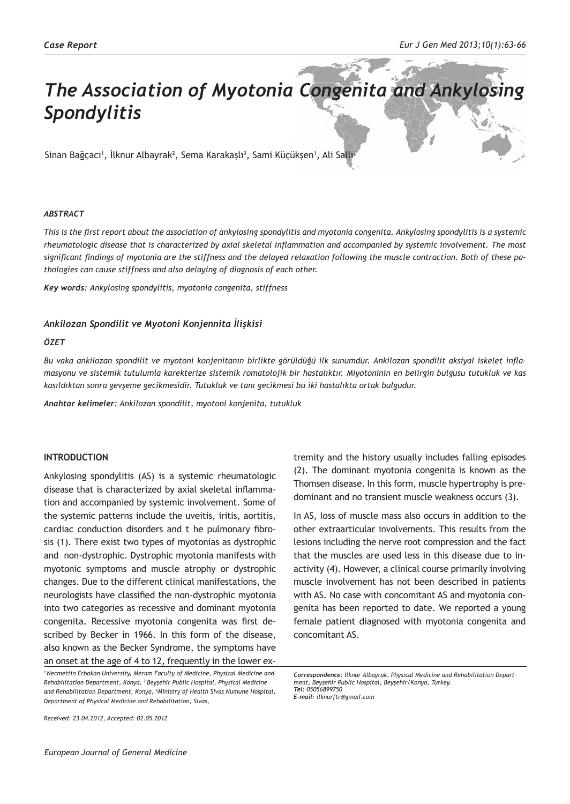# *The Association of Myotonia Congenita and Ankylosing Spondylitis*

Sinan Bağçacı<sup>ı</sup>, İlknur Albayrak<sup>2</sup>, Sema Karakaşlı<sup>3</sup>, Sami Küçükşen<sup>ı</sup>, Ali Sallı<sup>1</sup>

#### *ABSTRACT*

*This is the first report about the association of ankylosing spondylitis and myotonia congenita. Ankylosing spondylitis is a systemic rheumatologic disease that is characterized by axial skeletal inflammation and accompanied by systemic involvement. The most significant findings of myotonia are the stiffness and the delayed relaxation following the muscle contraction. Both of these pathologies can cause stiffness and also delaying of diagnosis of each other.*

*Key words: Ankylosing spondylitis, myotonia congenita, stiffness*

# *Ankilozan Spondilit ve Myotoni Konjennita İlişkisi*

#### *ÖZET*

*Bu vaka ankilozan spondilit ve myotoni konjenitanın birlikte görüldüğü ilk sunumdur. Ankilozan spondilit aksiyal iskelet inflamasyonu ve sistemik tutulumla karekterize sistemik romatolojik bir hastalıktır. Miyotoninin en belirgin bulgusu tutukluk ve kas kasıldıktan sonra gevşeme gecikmesidir. Tutukluk ve tanı gecikmesi bu iki hastalıkta ortak bulgudur.*

*Anahtar kelimeler: Ankilozan spondilit, myotoni konjenita, tutukluk*

# **INTRODUCTION**

Ankylosing spondylitis (AS) is a systemic rheumatologic disease that is characterized by axial skeletal inflammation and accompanied by systemic involvement. Some of the systemic patterns include the uveitis, iritis, aortitis, cardiac conduction disorders and t he pulmonary fibrosis (1). There exist two types of myotonias as dystrophic and non-dystrophic. Dystrophic myotonia manifests with myotonic symptoms and muscle atrophy or dystrophic changes. Due to the different clinical manifestations, the neurologists have classified the non-dystrophic myotonia into two categories as recessive and dominant myotonia congenita. Recessive myotonia congenita was first described by Becker in 1966. In this form of the disease, also known as the Becker Syndrome, the symptoms have an onset at the age of 4 to 12, frequently in the lower ex-

*Received: 23.04.2012, Accepted: 02.05.2012*

tremity and the history usually includes falling episodes (2). The dominant myotonia congenita is known as the Thomsen disease. In this form, muscle hypertrophy is predominant and no transient muscle weakness occurs (3).

In AS, loss of muscle mass also occurs in addition to the other extraarticular involvements. This results from the lesions including the nerve root compression and the fact that the muscles are used less in this disease due to inactivity (4). However, a clinical course primarily involving muscle involvement has not been described in patients with AS. No case with concomitant AS and myotonia congenita has been reported to date. We reported a young female patient diagnosed with myotonia congenita and concomitant AS.

*<sup>1</sup>Necmettin Erbakan University, Meram Faculty of Medicine, Physical Medicine and Rehabilitation Department, Konya, <sup>2</sup>Beyşehir Public Hospital, Physical Medicine and Rehabilitation Department, Konya, <sup>3</sup> Ministry of Health Sivas Numune Hospital, Department of Physical Medicine and Rehabilitation, Sivas,* 

*Correspondence: İlknur Albayrak, Physical Medicine and Rehabilitation Department, Beyşehir Public Hospital, Beyşehir/Konya, Turkey. Tel: 05056899750 E-mail: ilknurftr@gmail.com*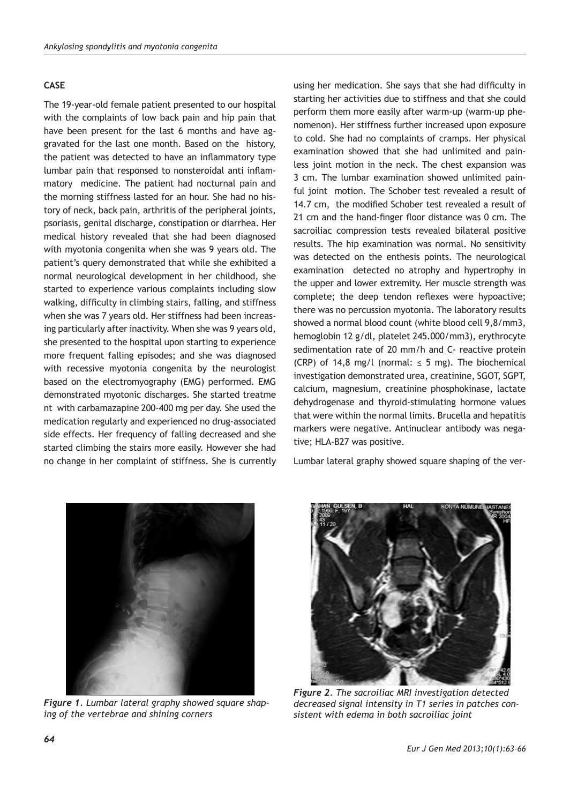# **CASE**

The 19-year-old female patient presented to our hospital with the complaints of low back pain and hip pain that have been present for the last 6 months and have aggravated for the last one month. Based on the history, the patient was detected to have an inflammatory type lumbar pain that responsed to nonsteroidal anti inflammatory medicine. The patient had nocturnal pain and the morning stiffness lasted for an hour. She had no history of neck, back pain, arthritis of the peripheral joints, psoriasis, genital discharge, constipation or diarrhea. Her medical history revealed that she had been diagnosed with myotonia congenita when she was 9 years old. The patient's query demonstrated that while she exhibited a normal neurological development in her childhood, she started to experience various complaints including slow walking, difficulty in climbing stairs, falling, and stiffness when she was 7 years old. Her stiffness had been increasing particularly after inactivity. When she was 9 years old, she presented to the hospital upon starting to experience more frequent falling episodes; and she was diagnosed with recessive myotonia congenita by the neurologist based on the electromyography (EMG) performed. EMG demonstrated myotonic discharges. She started treatme nt with carbamazapine 200-400 mg per day. She used the medication regularly and experienced no drug-associated side effects. Her frequency of falling decreased and she started climbing the stairs more easily. However she had no change in her complaint of stiffness. She is currently

using her medication. She says that she had difficulty in starting her activities due to stiffness and that she could perform them more easily after warm-up (warm-up phenomenon). Her stiffness further increased upon exposure to cold. She had no complaints of cramps. Her physical examination showed that she had unlimited and painless joint motion in the neck. The chest expansion was 3 cm. The lumbar examination showed unlimited painful joint motion. The Schober test revealed a result of 14.7 cm, the modified Schober test revealed a result of 21 cm and the hand-finger floor distance was 0 cm. The sacroiliac compression tests revealed bilateral positive results. The hip examination was normal. No sensitivity was detected on the enthesis points. The neurological examination detected no atrophy and hypertrophy in the upper and lower extremity. Her muscle strength was complete; the deep tendon reflexes were hypoactive; there was no percussion myotonia. The laboratory results showed a normal blood count (white blood cell 9,8/mm3, hemoglobin 12 g/dl, platelet 245.000/mm3), erythrocyte sedimentation rate of 20 mm/h and C- reactive protein (CRP) of 14,8 mg/l (normal:  $\leq$  5 mg). The biochemical investigation demonstrated urea, creatinine, SGOT, SGPT, calcium, magnesium, creatinine phosphokinase, lactate dehydrogenase and thyroid-stimulating hormone values that were within the normal limits. Brucella and hepatitis markers were negative. Antinuclear antibody was negative; HLA-B27 was positive.

Lumbar lateral graphy showed square shaping of the ver-



*Figure 1. Lumbar lateral graphy showed square shaping of the vertebrae and shining corners*



*Figure 2. The sacroiliac MRI investigation detected decreased signal intensity in T1 series in patches consistent with edema in both sacroiliac joint*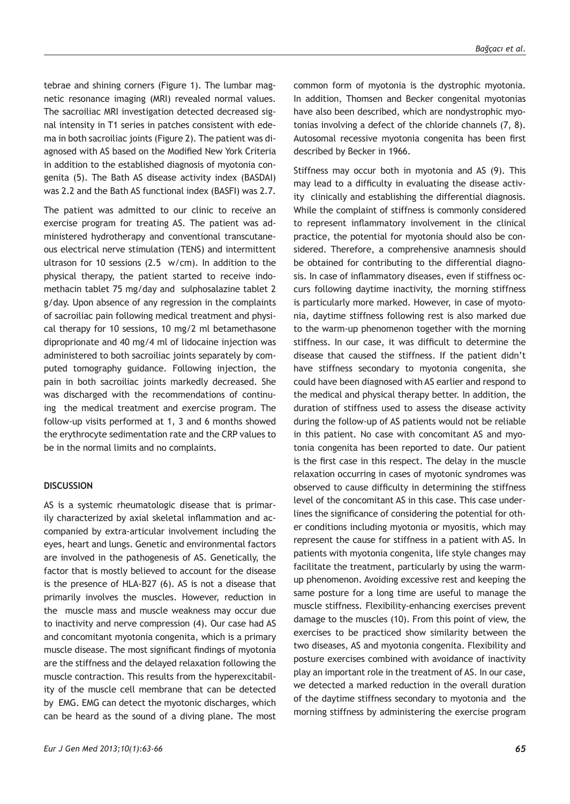tebrae and shining corners (Figure 1). The lumbar magnetic resonance imaging (MRI) revealed normal values. The sacroiliac MRI investigation detected decreased signal intensity in T1 series in patches consistent with edema in both sacroiliac joints (Figure 2). The patient was diagnosed with AS based on the Modified New York Criteria in addition to the established diagnosis of myotonia congenita (5). The Bath AS disease activity index (BASDAI) was 2.2 and the Bath AS functional index (BASFI) was 2.7.

The patient was admitted to our clinic to receive an exercise program for treating AS. The patient was administered hydrotherapy and conventional transcutaneous electrical nerve stimulation (TENS) and intermittent ultrason for 10 sessions (2.5 w/cm). In addition to the physical therapy, the patient started to receive indomethacin tablet 75 mg/day and sulphosalazine tablet 2 g/day. Upon absence of any regression in the complaints of sacroiliac pain following medical treatment and physical therapy for 10 sessions, 10 mg/2 ml betamethasone diproprionate and 40 mg/4 ml of lidocaine injection was administered to both sacroiliac joints separately by computed tomography guidance. Following injection, the pain in both sacroiliac joints markedly decreased. She was discharged with the recommendations of continuing the medical treatment and exercise program. The follow-up visits performed at 1, 3 and 6 months showed the erythrocyte sedimentation rate and the CRP values to be in the normal limits and no complaints.

#### **DISCUSSION**

AS is a systemic rheumatologic disease that is primarily characterized by axial skeletal inflammation and accompanied by extra-articular involvement including the eyes, heart and lungs. Genetic and environmental factors are involved in the pathogenesis of AS. Genetically, the factor that is mostly believed to account for the disease is the presence of HLA-B27 (6). AS is not a disease that primarily involves the muscles. However, reduction in the muscle mass and muscle weakness may occur due to inactivity and nerve compression (4). Our case had AS and concomitant myotonia congenita, which is a primary muscle disease. The most significant findings of myotonia are the stiffness and the delayed relaxation following the muscle contraction. This results from the hyperexcitability of the muscle cell membrane that can be detected by EMG. EMG can detect the myotonic discharges, which can be heard as the sound of a diving plane. The most common form of myotonia is the dystrophic myotonia. In addition, Thomsen and Becker congenital myotonias have also been described, which are nondystrophic myotonias involving a defect of the chloride channels (7, 8). Autosomal recessive myotonia congenita has been first described by Becker in 1966.

Stiffness may occur both in myotonia and AS (9). This may lead to a difficulty in evaluating the disease activity clinically and establishing the differential diagnosis. While the complaint of stiffness is commonly considered to represent inflammatory involvement in the clinical practice, the potential for myotonia should also be considered. Therefore, a comprehensive anamnesis should be obtained for contributing to the differential diagnosis. In case of inflammatory diseases, even if stiffness occurs following daytime inactivity, the morning stiffness is particularly more marked. However, in case of myotonia, daytime stiffness following rest is also marked due to the warm-up phenomenon together with the morning stiffness. In our case, it was difficult to determine the disease that caused the stiffness. If the patient didn't have stiffness secondary to myotonia congenita, she could have been diagnosed with AS earlier and respond to the medical and physical therapy better. In addition, the duration of stiffness used to assess the disease activity during the follow-up of AS patients would not be reliable in this patient. No case with concomitant AS and myotonia congenita has been reported to date. Our patient is the first case in this respect. The delay in the muscle relaxation occurring in cases of myotonic syndromes was observed to cause difficulty in determining the stiffness level of the concomitant AS in this case. This case underlines the significance of considering the potential for other conditions including myotonia or myositis, which may represent the cause for stiffness in a patient with AS. In patients with myotonia congenita, life style changes may facilitate the treatment, particularly by using the warmup phenomenon. Avoiding excessive rest and keeping the same posture for a long time are useful to manage the muscle stiffness. Flexibility-enhancing exercises prevent damage to the muscles (10). From this point of view, the exercises to be practiced show similarity between the two diseases, AS and myotonia congenita. Flexibility and posture exercises combined with avoidance of inactivity play an important role in the treatment of AS. In our case, we detected a marked reduction in the overall duration of the daytime stiffness secondary to myotonia and the morning stiffness by administering the exercise program